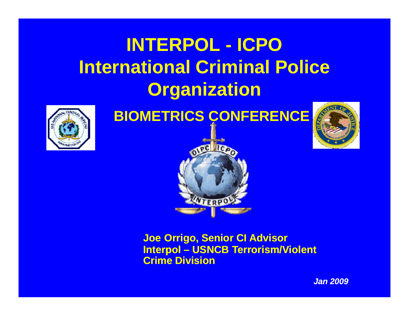## **INTERPOL - ICPOInternational Criminal Police Or ganization**



**BIOMETRICS CONFERENCE**





**Joe Orrigo, Senior CI Advisor Interpol – USNCB Terrorism/Violent C i Di i i rime vision**

*Jan 2009*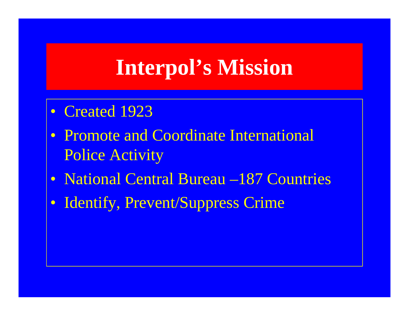## **Interpol's Mission**

- Created 1923
- Promote and Coordinate International Police Activity
- National Central Bureau –187 Countries
- $\bullet$ Identify, Prevent/Suppress Crime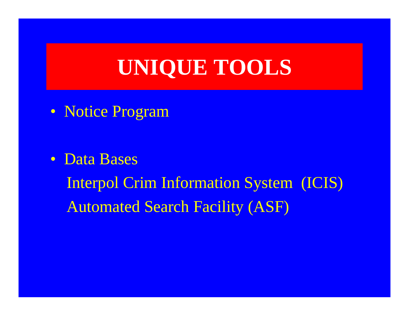## **UNIQUE TOOLS**

• Notice Program

• Data Bases

Interpol Crim Information System (ICIS) Automated Search Facility (ASF)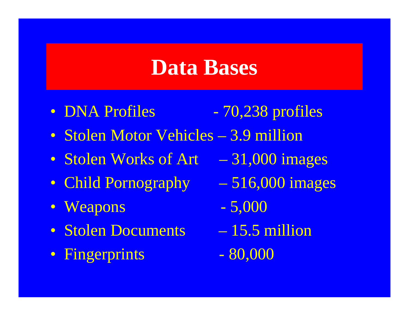## **Data Bases**

- DNA Profiles  $-70,238$  profiles
- Stolen Motor Vehicles 3.9 million
- Stolen Works of Art 31,000 images
- Child Pornography 516,000 images
- Weapons  $-5,000$
- Stolen Documents 15.5 million
- Fingerprints 80,000
- 
- 
- $-15.5$  million
	-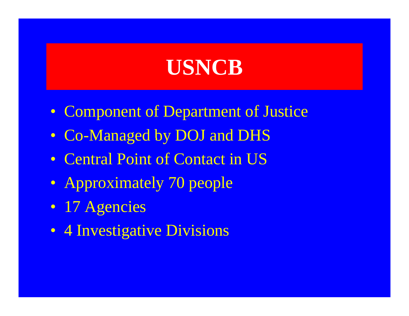## **USNCB**

- Component of Department of Justice
- Co-Managed by DOJ and DHS
- Central Point of Contact in US
- Approximately 70 people
- 17 Agencies
- 4 Investigative Divisions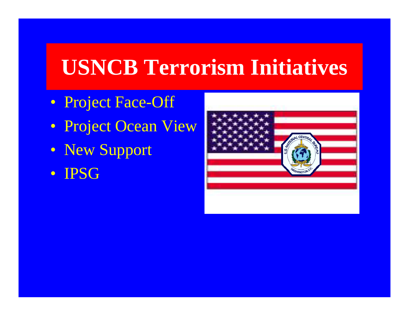## **USNCB Terrorism Initiatives**

- Project Face-Off
- Project Ocean View
- New Support
- IPSG

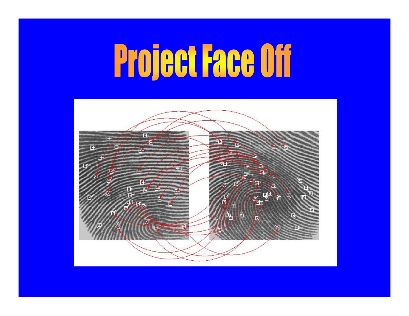# **Project Face Off**

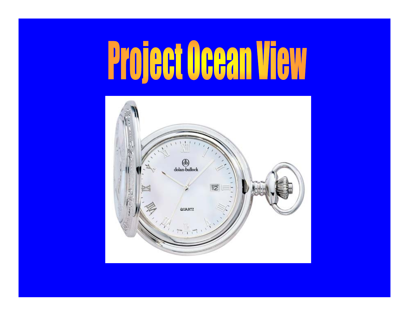## **Project Ocean**  $\prod_{i=1}^n$

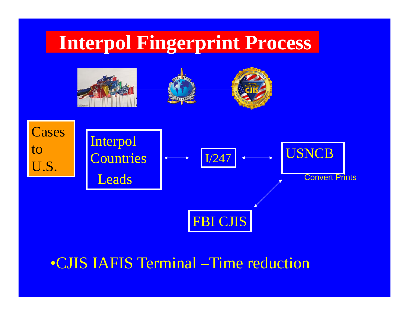

•CJIS IAFIS Terminal –Time reduction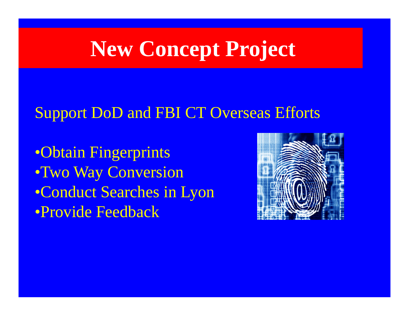## **New Concept Project**

#### Support DoD and FBI CT Overseas Efforts

•Obtain Fingerprints •Two Way Conversion •Conduct Searches in Lyon •Provide Feedback

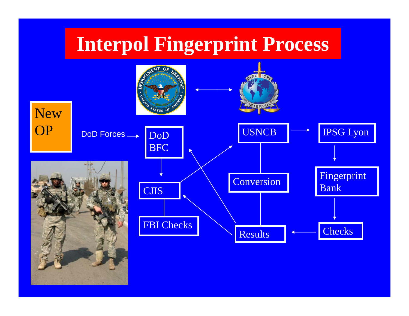### **Interpol Fingerprint Process**

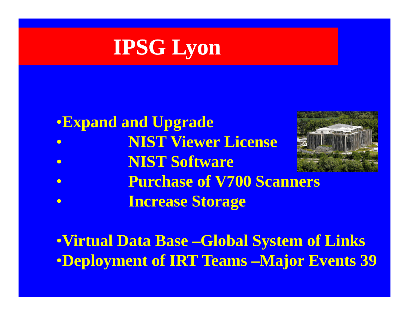## **IPSG Lyon**

#### •**Expand and Upgrade**

- $\bullet$ **NIST Vi Li Viewer License**
- $\bullet$ **NIST Software**



- $\bullet$ **P h f V700 S Purchase of Scanners**
- $\bullet$ **Increase Storage**

•**Virtual Data Base –Global System of Links** •**D l t f IRT T Deployment of Teams –M j E t 39 Major Events**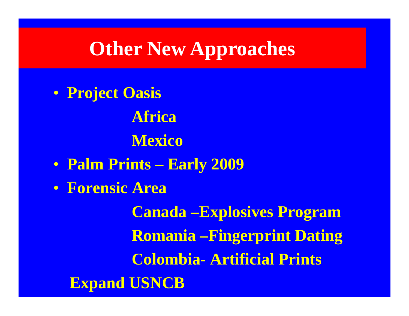## **Other New Approaches**

• **Project Oasis AfricaM i ex co** • **Palm Prints – Early 2009** • **Forensic AreaCanada –Explosives Program Romania –Fingerprint Dating Colombia- Artificial Prints Expand USNCB**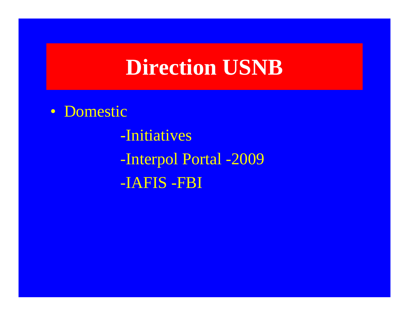## **Direction USNB**

• Domestic

-Initiatives -Interpol Portal -2009 -IAFIS -FBI